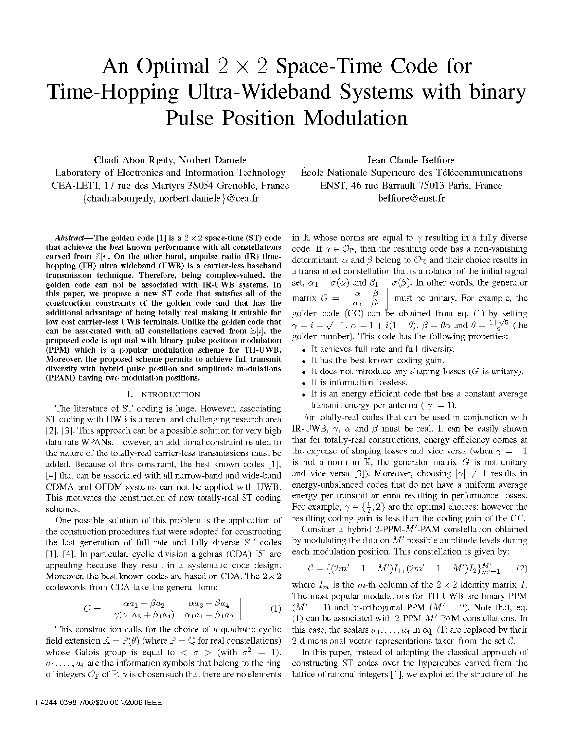# An Optimal  $2 \times 2$  Space-Time Code for Time-Hopping Ultra-Wideband Systems with binary Pulse Position Modulation

Chadi Abou-Rjeily, Norbert Daniele Laboratory of Electronics and Information Technology CEA-LETI, 17 rue des Martyrs 38054 Grenoble, France {chadi.abourjeily, norbert.daniele}@cea.fr

Abstract- The golden code [1] is a  $2 \times 2$  space-time (ST) code that achieves the best known performance with all constellations carved from  $\mathbb{Z}[i]$ . On the other hand, impulse radio (IR) timehopping (TH) ultra wideband (UWB) is a carrier-less baseband transmission technique. Therefore, being complex-valued, the golden code can not be associated with IR-UWB systems. In this paper, we propose a new ST code that satisfies all of the construction constraints of the golden code and that has the additional advantage of being totally real making it suitable for low cost carrier-less UWB terminals. Unlike the golden code that can be associated with all constellations carved from  $\mathbb{Z}[i]$ , the proposed code is optimal with binary pulse position modulation (PPM) which is a popular modulation scheme for TH-UWB. Moreover, the proposed scheme permits to achieve full transmit diversity with hybrid pulse position and amplitude modulations (PPAM) having two modulation positions.

## I. INTRODUCTION

The literature of ST coding is huge. However, associating ST coding with UWB is <sup>a</sup> recent and challenging research area [2], [3]. This approach can be a possible solution for very high data rate WPANs. However, an additional constraint related to the nature of the totally-real carrier-less transmissions must be added. Because of this constraint, the best known codes [1], [4] that can be associated with all narrow-band and wide-band CDMA and OFDM systems can not be applied with UWB. This motivates the construction of new totally-real ST coding schemes.

One possible solution of this problem is the application of the construction procedures that were adopted for constructing the last generation of full rate and fully diverse ST codes [1], [4]. In particular, cyclic division algebras (CDA) [5] are appealing because they result in a systematic code design. Moreover, the best known codes are based on CDA. The  $2 \times 2$ codewords from CDA take the general form:

$$
C = \left[ \begin{array}{cc} \alpha a_1 + \beta a_2 & \alpha a_3 + \beta a_4 \\ \gamma(\alpha_1 a_3 + \beta_1 a_4) & \alpha_1 a_1 + \beta_1 a_2 \end{array} \right] \tag{1}
$$

This construction calls for the choice of a quadratic cyclic field extension  $\mathbb{K} = \mathbb{P}(\theta)$  (where  $\mathbb{P} = \mathbb{Q}$  for real constellations) whose Galois group is equal to  $\langle \sigma \rangle$  (with  $\sigma^2 = 1$ ).  $a_1, \ldots, a_4$  are the information symbols that belong to the ring of integers  $\mathcal{O}_P$  of  $\mathbb{P}$ .  $\gamma$  is chosen such that there are no elements

Jean-Claude Belfiore École Nationale Supérieure des Télécommunications ENST, 46 rue Barrault 75013 Paris, France belfiore@enst.fr

in  $\mathbb K$  whose norms are equal to  $\gamma$  resulting in a fully diverse code. If  $\gamma \in \mathcal{O}_P$ , then the resulting code has a non-vanishing determinant.  $\alpha$  and  $\beta$  belong to  $\mathcal{O}_\mathbb{K}$  and their choice results in a transmitted constellation that is a rotation of the initial signal set,  $\alpha_1 = \sigma(\alpha)$  and  $\beta_1 = \sigma(\beta)$ . In other words, the generator matrix  $G =$  $\begin{bmatrix} \alpha & \beta \\ \alpha_1 & \beta_1 \end{bmatrix}$  must be unitary. For example, the golden code  $\langle$ GC) can be obtained from eq. (1) by setting  $\gamma=i=\sqrt{-1}, \ \alpha=1+i(1-\theta), \ \beta=\theta\alpha$  and  $\theta=\frac{1+\sqrt{5}}{2}$  (the golden number). This code has the following properties:

- . It achieves full rate and full diversity.
- . It has the best known coding gain.
- It does not introduce any shaping losses  $(G$  is unitary).
- . It is information lossless.
- . It is an energy efficient code that has a constant average transmit energy per antenna ( $|\gamma| = 1$ ).

For totally-real codes that can be used in conjunction with IR-UWB,  $\gamma$ ,  $\alpha$  and  $\beta$  must be real. It can be easily shown that for totally-real constructions, energy efficiency comes at the expense of shaping losses and vice versa (when  $\gamma = -1$ ) is not a norm in  $\mathbb{K}$ , the generator matrix G is not unitary and vice versa [3]). Moreover, choosing  $|\gamma| \neq 1$  results in energy-unbalanced codes that do not have a uniform average energy per transmit antenna resulting in performance losses. For example,  $\gamma \in {\frac{1}{2}, 2}$  are the optimal choices; however the resulting coding gain is less than the coding gain of the GC.

Consider a hybrid 2-PPM-M'-PAM constellation obtained by modulating the data on  $M'$  possible amplitude levels during each modulation position. This constellation is given by:

$$
\mathcal{C} = \{ (2m' - 1 - M')I_1, (2m' - 1 - M')I_2 \}_{m' = 1}^{M'} \tag{2}
$$

where  $I_m$  is the m-th column of the  $2 \times 2$  identity matrix I. The most popular modulations for TH-UWB are binary PPM  $(M' = 1)$  and bi-orthogonal PPM  $(M' = 2)$ . Note that, eq. (1) can be associated with 2-PPM-M'-PAM constellations. In this case, the scalars  $a_1,\ldots,a_4$  in eq. (1) are replaced by their 2-dimensional vector representations taken from the set  $C$ .

In this paper, instead of adopting the classical approach of constructing ST codes over the hypercubes carved from the lattice of rational integers [1], we exploited the structure of the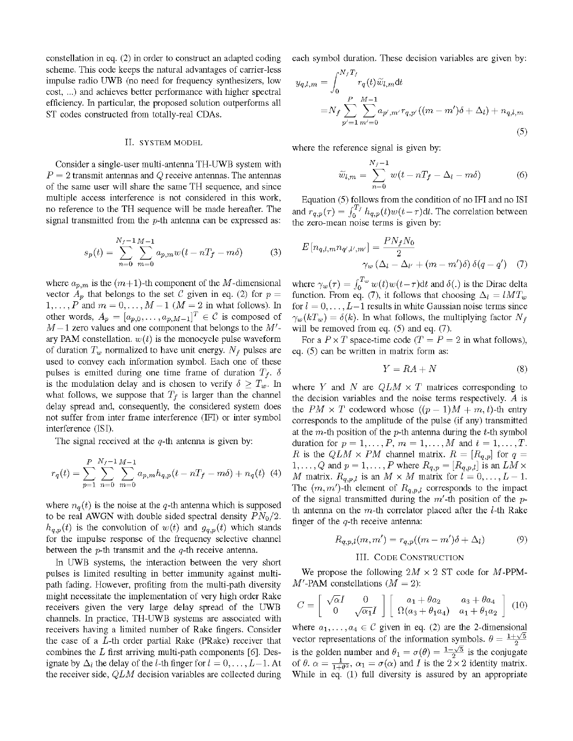constellation in eq. (2) in order to construct an adapted coding scheme. This code keeps the natural advantages of carrier-less impulse radio UWB (no need for frequency synthesizers, low cost, ...) and achieves better performance with higher spectral efficiency. In particular, the proposed solution outperforms all ST codes constructed from totally-real CDAs.

#### II. SYSTEM MODEL

Consider <sup>a</sup> single-user multi-antenna TH-UWB system with  $P = 2$  transmit antennas and Q receive antennas. The antennas of the same user will share the same TH sequence, and since multiple access interference is not considered in this work, no reference to the TH sequence will be made hereafter. The signal transmitted from the  $p$ -th antenna can be expressed as:

$$
s_p(t) = \sum_{n=0}^{N_f - 1} \sum_{m=0}^{M-1} a_{p,m} w(t - nT_f - m\delta)
$$
 (3)

where  $a_{p,m}$  is the  $(m+1)$ -th component of the M-dimensional vector  $A_p$  that belongs to the set C given in eq. (2) for  $p =$  $1, \ldots, P$  and  $m = 0, \ldots, M - 1$   $(M = 2$  in what follows). In other words,  $A_p = [a_{p,0}, \ldots, a_{p,M-1}]^T \in \mathcal{C}$  is composed of  $M-1$  zero values and one component that belongs to the  $M'$ ary PAM constellation.  $w(t)$  is the monocycle pulse waveform of duration  $T_w$  normalized to have unit energy.  $N_f$  pulses are used to convey each information symbol. Each one of these pulses is emitted during one time frame of duration  $T_f$ .  $\delta$ is the modulation delay and is chosen to verify  $\delta \geq T_w$ . In what follows, we suppose that  $T_f$  is larger than the channel delay spread and, consequently, the considered system does not suffer from inter frame interference (IFI) or inter symbol interference (ISI).

The signal received at the  $q$ -th antenna is given by:

$$
r_q(t) = \sum_{p=1}^{P} \sum_{n=0}^{N_f-1} \sum_{m=0}^{M-1} a_{p,m} h_{q,p}(t - nT_f - m\delta) + n_q(t)
$$
 (4)

where  $n_q(t)$  is the noise at the q-th antenna which is supposed to be real AWGN with double sided spectral density  $PN_0/2$ .  $h_{q,p}(t)$  is the convolution of  $w(t)$  and  $g_{q,p}(t)$  which stands for the impulse response of the frequency selective channel between the  $p$ -th transmit and the  $q$ -th receive antenna.

In UWB systems, the interaction between the very short pulses is limited resulting in better immunity against multipath fading. However, profiting from the multi-path diversity might necessitate the implementation of very high order Rake receivers given the very large delay spread of the UWB channels. In practice, TH-UWB systems are associated with receivers having a limited number of Rake fingers. Consider the case of a  $L$ -th order partial Rake (PRake) receiver that combines the  $L$  first arriving multi-path components [6]. Designate by  $\Delta_l$  the delay of the *l*-th finger for  $l = 0, \ldots, L-1$ . At the receiver side,  $QLM$  decision variables are collected during

each symbol duration. These decision variables are given by:

$$
y_{q,l,m} = \int_0^{N_f T_f} r_q(t)\widetilde{w}_{l,m} dt
$$
  
=  $N_f \sum_{p'=1}^P \sum_{m'=0}^{M-1} a_{p',m'} r_{q,p'}((m-m')\delta + \Delta_l) + n_{q,l,m}$  (5)

where the reference signal is given by:

$$
\widetilde{w}_{l,m} = \sum_{n=0}^{N_f - 1} w(t - nT_f - \Delta_l - m\delta)
$$
 (6)

Equation (5) follows from the condition of no IFI and no ISI and  $r_{q,p}(\tau) = \int_0^{1/\tau} h_{q,p}(t) w(t-\tau) dt$ . The correlation between the zero-mean noise terms is given by:

$$
E[n_{q,l,m}n_{q',l',m'}] = \frac{PN_fN_0}{2}
$$

$$
\gamma_w (\Delta_l - \Delta_{l'} + (m - m')\delta) \delta(q - q') \quad (7)
$$

where  $\gamma_w(\tau) = \int_0^{T_w} w(t)w(t-\tau)dt$  and  $\delta(.)$  is the Dirac delta function. From eq. (7), it follows that choosing  $\Delta_l = lMT_w$ for  $l = 0, \ldots, L-1$  results in white Gaussian noise terms since  $\gamma_w(kT_w) = \delta(k)$ . In what follows, the multiplying factor  $N_f$ will be removed from eq.  $(5)$  and eq.  $(7)$ .

For a  $P \times T$  space-time code  $(T = P = 2$  in what follows), eq. (5) can be written in matrix form as:

$$
Y = RA + N \tag{8}
$$

where Y and N are  $QLM \times T$  matrices corresponding to the decision variables and the noise terms respectively.  $A$  is the  $PM \times T$  codeword whose  $((p-1)M + m, t)$ -th entry corresponds to the amplitude of the pulse (if any) transmitted at the m-th position of the  $p$ -th antenna during the t-th symbol duration for  $p = 1, ..., P, m = 1, ..., M$  and  $t = 1, ..., T$ . R is the  $QLM \times PM$  channel matrix.  $R = [R_{q,p}]$  for  $q =$ 1,..., Q and  $p = 1, \ldots, P$  where  $R_{q,p} = [R_{q,p,l}]$  is an  $\hat{LM} \times$ M matrix.  $R_{q,p,l}$  is an  $M \times M$  matrix for  $l = 0, \ldots, L-1$ . The  $(m, m')$ -th element of  $R_{q,p,l}$  corresponds to the impact of the signal transmitted during the  $m'$ -th position of the pth antenna on the  $m$ -th correlator placed after the  $l$ -th Rake finger of the  $q$ -th receive antenna:

$$
R_{q,p,l}(m,m') = r_{q,p}((m-m')\delta + \Delta_l)
$$
 (9)

#### III. CODE CONSTRUCTION

We propose the following  $2M \times 2$  ST code for M-PPM- $M'$ -PAM constellations  $(M = 2)$ :

$$
C = \left[\begin{array}{cc} \sqrt{\alpha}I & 0\\ 0 & \sqrt{\alpha_1}I \end{array}\right] \left[\begin{array}{cc} a_1 + \theta a_2 & a_3 + \theta a_4\\ \Omega(a_3 + \theta_1 a_4) & a_1 + \theta_1 a_2 \end{array}\right] (10)
$$

where  $a_1, \ldots, a_4 \in \mathcal{C}$  given in eq. (2) are the 2-dimensional vector representations of the information symbols.  $\theta = \frac{1+\sqrt{5}}{2}$ is the golden  $\begin{bmatrix} 1 & 0 \\ \sqrt{\alpha_1} I \end{bmatrix}$   $\begin{bmatrix} a_1 + \theta a_2 \\ \Omega(a_3 + \theta_1 a_4) \end{bmatrix}$ <br>  $\cdot$ ,  $a_4 \in \mathcal{C}$  given in eq. (2) are<br>
sentations of the information s<br>  $\alpha_1$  number and  $\theta_1 = \sigma(\theta) = \frac{1-\frac{1}{\sqrt{\theta_2}}}{\sqrt{\theta_1}}$ ,  $\alpha_1 = \sigma(\alpha)$  and  $I$ number and  $\theta_1 = \sigma(\theta) = \frac{1-\sqrt{5}}{2}$  is the conjugate of  $\theta$ .  $\alpha = \frac{1}{1+\theta^2}$ ,  $\alpha_1 = \sigma(\alpha)$  and I is the  $2 \times 2$  identity matrix. While in eq. (1) full diversity is assured by an appropriate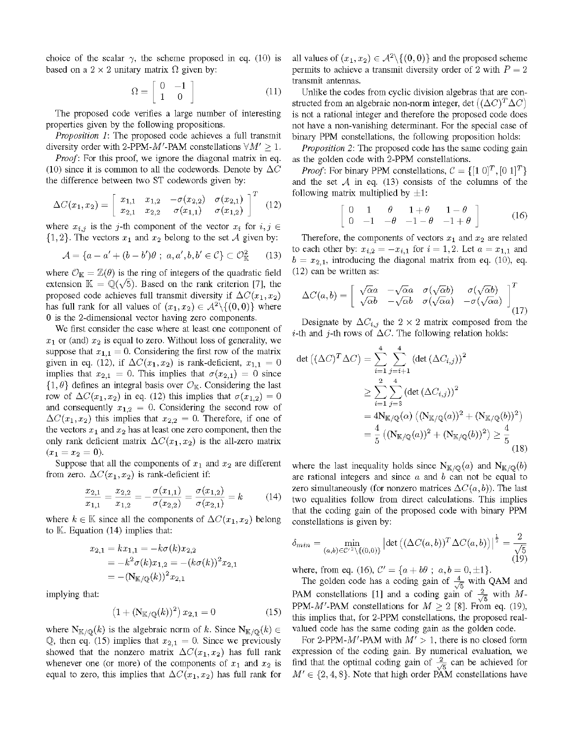choice of the scalar  $\gamma$ , the scheme proposed in eq. (10) is based on a  $2 \times 2$  unitary matrix  $\Omega$  given by:

$$
\Omega = \left[ \begin{array}{cc} 0 & -1 \\ 1 & 0 \end{array} \right] \tag{11}
$$

The proposed code verifies a large number of interesting properties given by the following propositions.

Proposition 1: The proposed code achieves a full transmit diversity order with 2-PPM- $M'$ -PAM constellations  $\forall M' \geq 1$ .

Proof: For this proof, we ignore the diagonal matrix in eq. (10) since it is common to all the codewords. Denote by  $\Delta C$ the difference between two ST codewords given by:

$$
\Delta C(x_1, x_2) = \begin{bmatrix} x_{1,1} & x_{1,2} & -\sigma(x_{2,2}) & \sigma(x_{2,1}) \\ x_{2,1} & x_{2,2} & \sigma(x_{1,1}) & \sigma(x_{1,2}) \end{bmatrix}^T
$$
(12)

where  $x_{i,j}$  is the j-th component of the vector  $x_i$  for  $i, j \in$  $\{1, 2\}$ . The vectors  $x_1$  and  $x_2$  belong to the set A given by:

$$
\mathcal{A} = \{a - a' + (b - b')\theta \; ; \; a, a', b, b' \in \mathcal{C}\} \subset \mathcal{O}_{\mathbb{K}}^2 \qquad (13)
$$

where  $\mathcal{O}_{\mathbb{K}} = \mathbb{Z}(\theta)$  is the ring of integers of the quadratic field extension  $\mathbb{K} = \mathbb{Q}(\sqrt{5})$ . Based on the rank criterion [7], the proposed code achieves full transmit diversity if  $\Delta C(x_1, x_2)$ has full rank for all values of  $(x_1,x_2) \in \mathcal{A}^2 \setminus \{(0,0)\}\$  where O is the 2-dimensional vector having zero components.

We first consider the case where at least one component of  $x_1$  or (and)  $x_2$  is equal to zero. Without loss of generality, we suppose that  $x_{1,1} = 0$ . Considering the first row of the matrix given in eq. (12), if  $\Delta C(x_1, x_2)$  is rank-deficient,  $x_{1,1} = 0$ implies that  $x_{2,1} = 0$ . This implies that  $\sigma(x_{2,1}) = 0$  since  $\{1,\theta\}$  defines an integral basis over  $\mathcal{O}_{\mathbb{K}}$ . Considering the last row of  $\Delta C(x_1, x_2)$  in eq. (12) this implies that  $\sigma(x_{1,2}) = 0$ and consequently  $x_{1,2} = 0$ . Considering the second row of  $\Delta C(x_1,x_2)$  this implies that  $x_{2,2} = 0$ . Therefore, if one of the vectors  $x_1$  and  $x_2$  has at least one zero component, then the only rank deficient matrix  $\Delta C(x_1,x_2)$  is the all-zero matrix  $(x_1 = x_2 = 0).$ 

Suppose that all the components of  $x_1$  and  $x_2$  are different from zero.  $\Delta C(x_1, x_2)$  is rank-deficient if:

$$
\frac{x_{2,1}}{x_{1,1}} = \frac{x_{2,2}}{x_{1,2}} = -\frac{\sigma(x_{1,1})}{\sigma(x_{2,2})} = \frac{\sigma(x_{1,2})}{\sigma(x_{2,1})} = k \tag{14}
$$

where  $k \in \mathbb{K}$  since all the components of  $\Delta C(x_1, x_2)$  belong to  $K$ . Equation (14) implies that:

$$
\begin{aligned} x_{2,1} &= k x_{1,1} = -k \sigma(k) x_{2,2} \\ &= -k^2 \sigma(k) x_{1,2} = -(k \sigma(k))^2 x_{2,1} \\ &= -(\mathrm{N}_{\mathbb{K}/\mathbb{Q}}(k))^2 x_{2,1} \end{aligned}
$$

implying that:

$$
(1 + (N_{K/\mathbb{Q}}(k))^2) x_{2,1} = 0 \tag{15}
$$

where  $N_{K/\mathbb{Q}}(k)$  is the algebraic norm of k. Since  $N_{K/\mathbb{Q}}(k) \in$ Q, then eq. (15) implies that  $x_{2,1} = 0$ . Since we previously showed that the nonzero matrix  $\Delta C(x_1, x_2)$  has full rank whenever one (or more) of the components of  $x_1$  and  $x_2$  is equal to zero, this implies that  $\Delta C(x_1, x_2)$  has full rank for all values of  $(x_1, x_2) \in \mathcal{A}^2 \setminus \{(0, 0)\}\$ and the proposed scheme permits to achieve a transmit diversity order of 2 with  $P = 2$ transmit antennas.

Unlike the codes from cyclic division algebras that are constructed from an algebraic non-norm integer, det  $((\Delta C)^T \Delta C)$ is not a rational integer and therefore the proposed code does not have a non-vanishing determinant. For the special case of binary PPM constellations, the following proposition holds:

Proposition 2: The proposed code has the same coding gain as the golden code with 2-PPM constellations.

*Proof*: For binary PPM constellations,  $C = \{ [1 \ 0]^T, [0 \ 1]^T \}$ and the set  $A$  in eq. (13) consists of the columns of the following matrix multiplied by  $\pm 1$ :

$$
\left[\begin{array}{cccc} 0 & 1 & \theta & 1+\theta & 1-\theta \\ 0 & -1 & -\theta & -1-\theta & -1+\theta \end{array}\right] \tag{16}
$$

Therefore, the components of vectors  $x_1$  and  $x_2$  are related to each other by:  $x_{i,2} = -x_{i,1}$  for  $i = 1, 2$ . Let  $a = x_{1,1}$  and  $b = x_{2,1}$ , introducing the diagonal matrix from eq. (10), eq. (12) can be written as:

$$
\Delta C(a,b) = \begin{bmatrix}\n\sqrt{\alpha}a & -\sqrt{\alpha}a & \sigma(\sqrt{\alpha}b) & \sigma(\sqrt{\alpha}b) \\
\sqrt{\alpha}b & -\sqrt{\alpha}b & \sigma(\sqrt{\alpha}a) & -\sigma(\sqrt{\alpha}a)\n\end{bmatrix}_{(17)}
$$

Designate by  $\Delta C_{i,j}$  the 2 × 2 matrix composed from the *i*-th and *j*-th rows of  $\Delta C$ . The following relation holds:

$$
\det\left((\Delta C)^{T} \Delta C\right) = \sum_{i=1}^{4} \sum_{j=i+1}^{4} \left(\det\left(\Delta C_{i,j}\right)\right)^{2}
$$
  
\n
$$
\geq \sum_{i=1}^{2} \sum_{j=3}^{4} \left(\det\left(\Delta C_{i,j}\right)\right)^{2}
$$
  
\n
$$
= 4N_{\mathbb{K}/\mathbb{Q}}(\alpha) \left((N_{\mathbb{K}/\mathbb{Q}}(a))^{2} + (N_{\mathbb{K}/\mathbb{Q}}(b))^{2}\right)
$$
  
\n
$$
= \frac{4}{5} \left((N_{\mathbb{K}/\mathbb{Q}}(a))^{2} + (N_{\mathbb{K}/\mathbb{Q}}(b))^{2}\right) \geq \frac{4}{5}
$$
(18)

where the last inequality holds since  $N_{K/\mathbb{Q}}(a)$  and  $N_{K/\mathbb{Q}}(b)$ are rational integers and since  $a$  and  $b$  can not be equal to zero simultaneously (for nonzero matrices  $\Delta C(a, b)$ ). The last two equalities follow from direct calculations. This implies that the coding gain of the proposed code with binary PPM constellations is given by:

$$
\delta_{min} = \min_{(a,b)\in\mathcal{C}^{\prime 2}\setminus\{(0,0)\}} \left| \det \left( (\Delta C(a,b))^T \Delta C(a,b) \right) \right|^{\frac{1}{2}} = \frac{2}{\sqrt{5}} \tag{19}
$$

where, from eq. (16),  $C' = \{a + b\theta \; ; \; a, b = 0, \pm 1\}.$ 

The golden code has a coding gain of  $\frac{4}{\sqrt{5}}$  with QAM and PAM constellations [1] and a coding gain of  $\frac{2}{\sqrt{5}}$  with M-PPM-M'-PAM constellations for  $M \geq 2$  [8]. From eq. (19), this implies that, for 2-PPM constellations, the proposed realvalued code has the same coding gain as the golden code.

For 2-PPM-M'-PAM with  $M' > 1$ , there is no closed form expression of the coding gain. By numerical evaluation, we find that the optimal coding gain of  $\frac{2}{\sqrt{5}}$  can be achieved for  $M' \in \{2, 4, 8\}$ . Note that high order PAM constellations have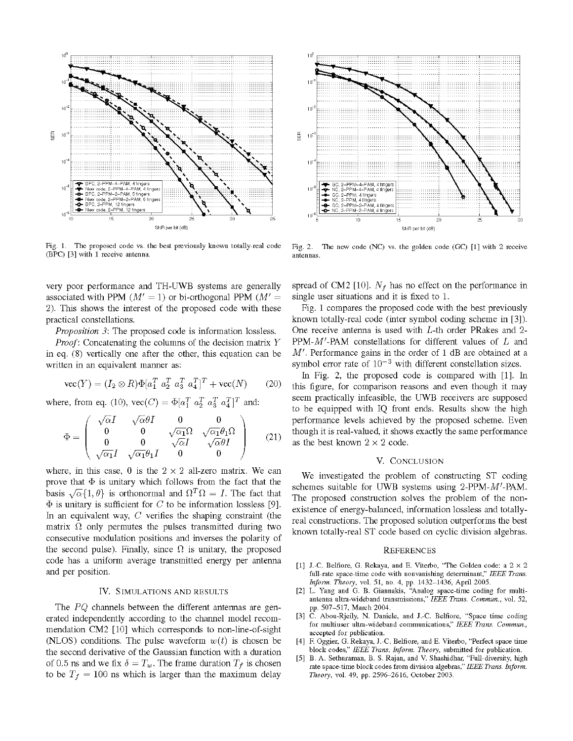

Fig. 1. The proposed code vs. the best previously known totally-real code (BPC) [3] with <sup>1</sup> receive antenna.

very poor performance and TH-UWB systems are generally associated with PPM ( $M' = 1$ ) or bi-orthogonal PPM ( $M' =$ 2). This shows the interest of the proposed code with these practical constellations.

Proposition 3: The proposed code is information lossless.

Proof: Concatenating the columns of the decision matrix Y in eq. (8) vertically one after the other, this equation can be written in an equivalent manner as:

$$
\text{vec}(Y) = (I_2 \otimes R)\Phi[a_1^T \ a_2^T \ a_3^T \ a_4^T]^T + \text{vec}(N) \tag{20}
$$

where, from eq. (10),  $\text{vec}(C) = \Phi[a_1^T \ a_2^T \ a_3^T \ a_4^T]^T$  and:

$$
\Phi = \begin{pmatrix}\n\sqrt{\alpha}I & \sqrt{\alpha}\theta I & 0 & 0 \\
0 & 0 & \sqrt{\alpha_1}\Omega & \sqrt{\alpha_1}\theta_1\Omega \\
0 & 0 & \sqrt{\alpha}I & \sqrt{\alpha}\theta I \\
\sqrt{\alpha_1}I & \sqrt{\alpha_1}\theta_1I & 0 & 0\n\end{pmatrix}
$$
(21)

where, in this case, 0 is the  $2 \times 2$  all-zero matrix. We can prove that  $\Phi$  is unitary which follows from the fact that the basis  $\sqrt{\alpha} \{1, \theta\}$  is orthonormal and  $\Omega^T \Omega = I$ . The fact that  $\Phi$  is unitary is sufficient for C to be information lossless [9]. In an equivalent way,  $C$  verifies the shaping constraint (the matrix  $\Omega$  only permutes the pulses transmitted during two consecutive modulation positions and inverses the polarity of the second pulse). Finally, since  $\Omega$  is unitary, the proposed code has a uniform average transmitted energy per antenna and per position.

# IV. SIMULATIONS AND RESULTS

The PQ channels between the different antennas are generated independently according to the channel model recommendation CM2 [10] which corresponds to non-line-of-sight (NLOS) conditions. The pulse waveform  $w(t)$  is chosen be the second derivative of the Gaussian function with a duration of 0.5 ns and we fix  $\delta = T_w$ . The frame duration  $T_f$  is chosen to be  $T_f = 100$  ns which is larger than the maximum delay



Fig. 2. The new code (NC) vs. the golden code (GC) [1] with 2 receive antennas.

spread of CM2 [10].  $N_f$  has no effect on the performance in single user situations and it is fixed to 1.

Fig. <sup>1</sup> compares the proposed code with the best previously known totally-real code (inter symbol coding scheme in [3]). One receive antenna is used with L-th order PRakes and 2- PPM- $M'$ -PAM constellations for different values of  $L$  and  $M'$ . Performance gains in the order of 1 dB are obtained at a symbol error rate of  $10^{-3}$  with different constellation sizes.

In Fig. 2, the proposed code is compared with [1]. In this figure, for comparison reasons and even though it may seem practically infeasible, the UWB receivers are supposed to be equipped with IQ front ends. Results show the high performance levels achieved by the proposed scheme. Even though it is real-valued, it shows exactly the same performance as the best known  $2 \times 2$  code.

## V. CONCLUSION

We investigated the problem of constructing ST coding schemes suitable for UWB systems using 2-PPM-M'-PAM. The proposed construction solves the problem of the nonexistence of energy-balanced, information lossless and totallyreal constructions. The proposed solution outperforms the best known totally-real ST code based on cyclic division algebras.

#### **REFERENCES**

- [1] J.-C. Belfiore, G. Rekaya, and E. Viterbo, "The Golden code: a 2 x 2 full-rate space-time code with nonvanishing determinant," IEEE Trans. Inform. Theory, vol. 51, no. 4, pp. 1432-1436, April 2005.
- [2] L. Yang and G. B. Giannakis, "Analog space-time coding for multiantenna ultra-wideband transmissions," IEEE Trans. Commun., vol. 52, pp. 507-517, March 2004.
- [3] C. Abou-Rjeily, N. Daniele, and J.-C. Belfiore, "Space time coding for multiuser ultra-wideband communications," IEEE Trans. Commun., accepted for publication.
- [4] F. Oggier, G. Rekaya, J.-C. Belfiore, and E. Viterbo, "Perfect space time block codes," IEEE Trans. Inform. Theory, submitted for publication.
- [5] B. A. Sethuraman, B. S. Rajan, and V. Shashidhar, "Full-diversity, high rate space-time block codes from division algebras," IEEE Trans. Inform. Theory, vol. 49, pp. 2596-2616, October 2003.